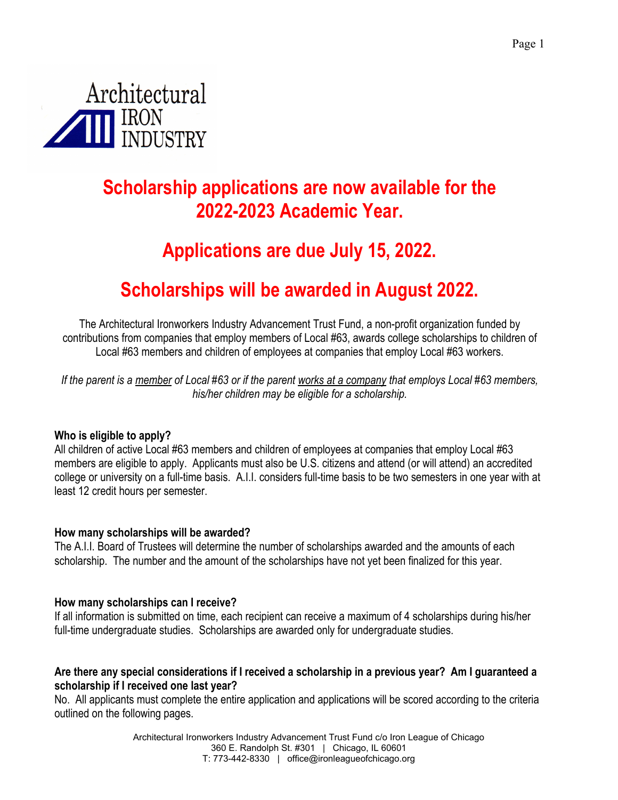

# **Scholarship applications are now available for the 2022-2023 Academic Year.**

# **Applications are due July 15, 2022.**

# **Scholarships will be awarded in August 2022.**

The Architectural Ironworkers Industry Advancement Trust Fund, a non-profit organization funded by contributions from companies that employ members of Local #63, awards college scholarships to children of Local #63 members and children of employees at companies that employ Local #63 workers.

*If the parent is a member of Local #63 or if the parent works at a company that employs Local #63 members, his/her children may be eligible for a scholarship.* 

## **Who is eligible to apply?**

All children of active Local #63 members and children of employees at companies that employ Local #63 members are eligible to apply. Applicants must also be U.S. citizens and attend (or will attend) an accredited college or university on a full-time basis. A.I.I. considers full-time basis to be two semesters in one year with at least 12 credit hours per semester.

## **How many scholarships will be awarded?**

The A.I.I. Board of Trustees will determine the number of scholarships awarded and the amounts of each scholarship. The number and the amount of the scholarships have not yet been finalized for this year.

#### **How many scholarships can I receive?**

If all information is submitted on time, each recipient can receive a maximum of 4 scholarships during his/her full-time undergraduate studies. Scholarships are awarded only for undergraduate studies.

## **Are there any special considerations if I received a scholarship in a previous year? Am I guaranteed a scholarship if I received one last year?**

No. All applicants must complete the entire application and applications will be scored according to the criteria outlined on the following pages.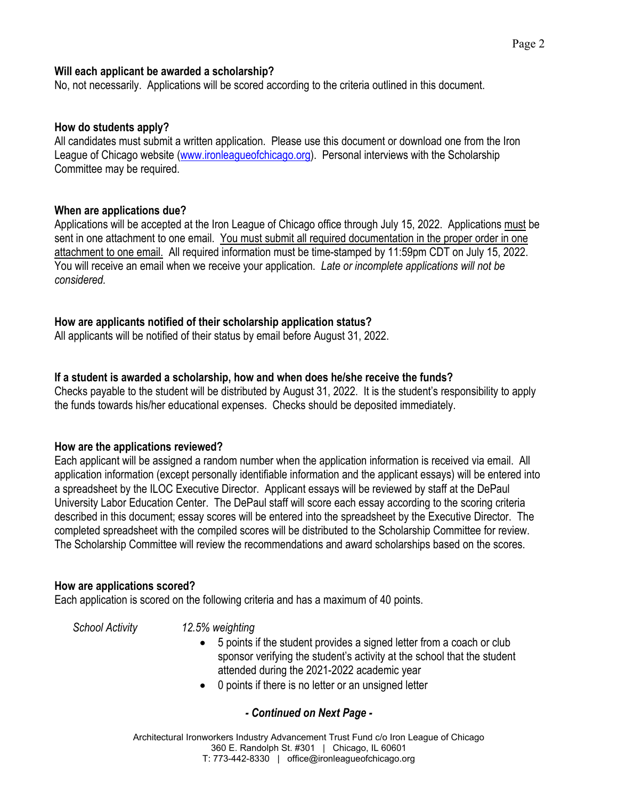#### **Will each applicant be awarded a scholarship?**

No, not necessarily. Applications will be scored according to the criteria outlined in this document.

#### **How do students apply?**

All candidates must submit a written application. Please use this document or download one from the Iron League of Chicago website (www.ironleagueofchicago.org). Personal interviews with the Scholarship Committee may be required.

### **When are applications due?**

Applications will be accepted at the Iron League of Chicago office through July 15, 2022. Applications must be sent in one attachment to one email. You must submit all required documentation in the proper order in one attachment to one email. All required information must be time-stamped by 11:59pm CDT on July 15, 2022. You will receive an email when we receive your application. *Late or incomplete applications will not be considered.*

### **How are applicants notified of their scholarship application status?**

All applicants will be notified of their status by email before August 31, 2022.

### **If a student is awarded a scholarship, how and when does he/she receive the funds?**

Checks payable to the student will be distributed by August 31, 2022. It is the student's responsibility to apply the funds towards his/her educational expenses. Checks should be deposited immediately.

#### **How are the applications reviewed?**

Each applicant will be assigned a random number when the application information is received via email. All application information (except personally identifiable information and the applicant essays) will be entered into a spreadsheet by the ILOC Executive Director. Applicant essays will be reviewed by staff at the DePaul University Labor Education Center. The DePaul staff will score each essay according to the scoring criteria described in this document; essay scores will be entered into the spreadsheet by the Executive Director. The completed spreadsheet with the compiled scores will be distributed to the Scholarship Committee for review. The Scholarship Committee will review the recommendations and award scholarships based on the scores.

#### **How are applications scored?**

Each application is scored on the following criteria and has a maximum of 40 points.

#### *School Activity 12.5% weighting*

- 5 points if the student provides a signed letter from a coach or club sponsor verifying the student's activity at the school that the student attended during the 2021-2022 academic year
- 0 points if there is no letter or an unsigned letter

## *- Continued on Next Page -*

Architectural Ironworkers Industry Advancement Trust Fund c/o Iron League of Chicago 360 E. Randolph St. #301 | Chicago, IL 60601 T: 773-442-8330 | office@ironleagueofchicago.org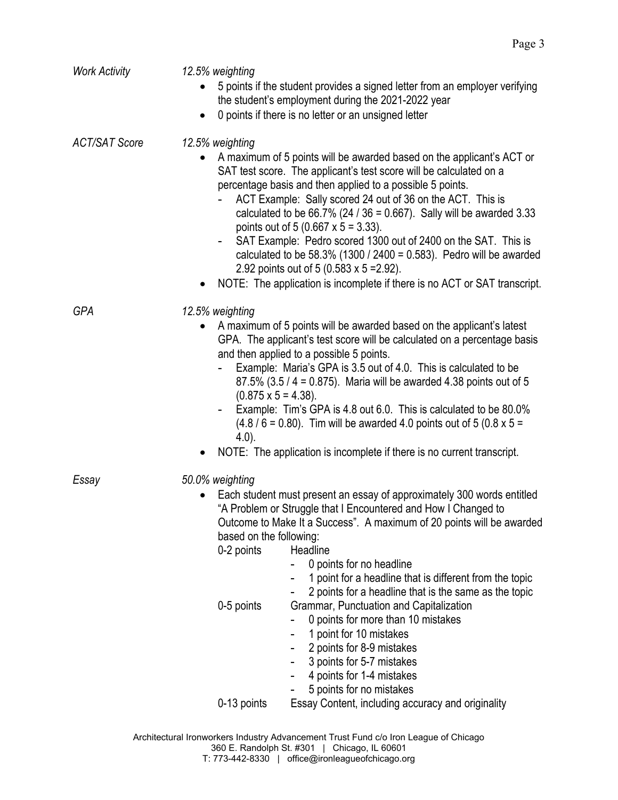| <b>Work Activity</b> | 12.5% weighting<br>5 points if the student provides a signed letter from an employer verifying<br>the student's employment during the 2021-2022 year<br>0 points if there is no letter or an unsigned letter                                                                                                                                                                                                                                                                                                                                                                                                                                                                                                                                               |  |
|----------------------|------------------------------------------------------------------------------------------------------------------------------------------------------------------------------------------------------------------------------------------------------------------------------------------------------------------------------------------------------------------------------------------------------------------------------------------------------------------------------------------------------------------------------------------------------------------------------------------------------------------------------------------------------------------------------------------------------------------------------------------------------------|--|
| <b>ACT/SAT Score</b> | 12.5% weighting<br>A maximum of 5 points will be awarded based on the applicant's ACT or<br>SAT test score. The applicant's test score will be calculated on a<br>percentage basis and then applied to a possible 5 points.<br>ACT Example: Sally scored 24 out of 36 on the ACT. This is<br>calculated to be $66.7\%$ (24 / 36 = 0.667). Sally will be awarded 3.33<br>points out of 5 (0.667 $\times$ 5 = 3.33).<br>SAT Example: Pedro scored 1300 out of 2400 on the SAT. This is<br>calculated to be 58.3% (1300 / 2400 = $0.583$ ). Pedro will be awarded<br>2.92 points out of 5 (0.583 x 5 = 2.92).<br>NOTE: The application is incomplete if there is no ACT or SAT transcript.                                                                    |  |
| GPA                  | 12.5% weighting<br>A maximum of 5 points will be awarded based on the applicant's latest<br>GPA. The applicant's test score will be calculated on a percentage basis<br>and then applied to a possible 5 points.<br>Example: Maria's GPA is 3.5 out of 4.0. This is calculated to be<br>87.5% (3.5 / 4 = 0.875). Maria will be awarded 4.38 points out of 5<br>$(0.875 \times 5 = 4.38)$ .<br>Example: Tim's GPA is 4.8 out 6.0. This is calculated to be 80.0%<br>$(4.8 / 6 = 0.80)$ . Tim will be awarded 4.0 points out of 5 (0.8 x 5 =<br>$(4.0)$ .<br>NOTE: The application is incomplete if there is no current transcript.                                                                                                                          |  |
| Essay                | 50.0% weighting<br>Each student must present an essay of approximately 300 words entitled<br>"A Problem or Struggle that I Encountered and How I Changed to<br>Outcome to Make It a Success". A maximum of 20 points will be awarded<br>based on the following:<br>0-2 points<br>Headline<br>0 points for no headline<br>1 point for a headline that is different from the topic<br>2 points for a headline that is the same as the topic<br>0-5 points<br>Grammar, Punctuation and Capitalization<br>0 points for more than 10 mistakes<br>1 point for 10 mistakes<br>2 points for 8-9 mistakes<br>3 points for 5-7 mistakes<br>4 points for 1-4 mistakes<br>5 points for no mistakes<br>0-13 points<br>Essay Content, including accuracy and originality |  |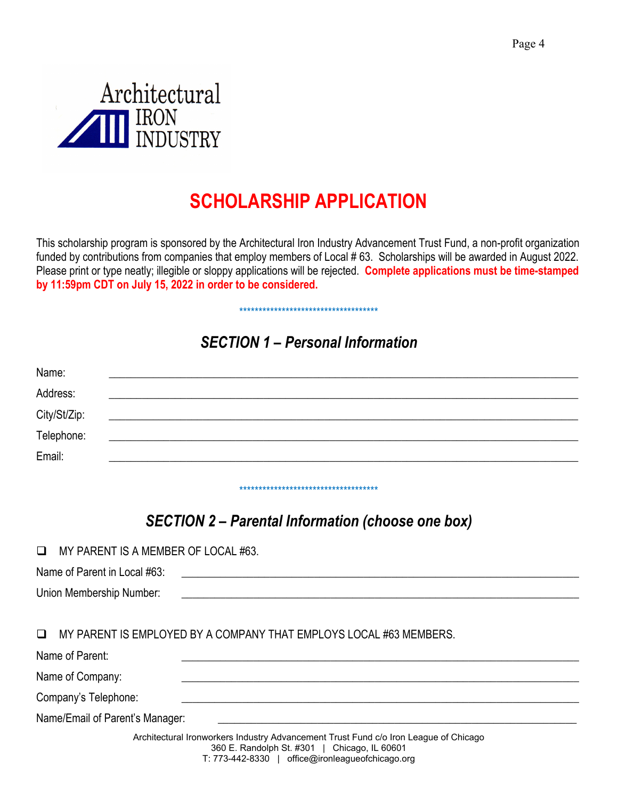

# **SCHOLARSHIP APPLICATION**

This scholarship program is sponsored by the Architectural Iron Industry Advancement Trust Fund, a non-profit organization funded by contributions from companies that employ members of Local # 63. Scholarships will be awarded in August 2022. Please print or type neatly; illegible or sloppy applications will be rejected. **Complete applications must be time-stamped by 11:59pm CDT on July 15, 2022 in order to be considered.** 

# *SECTION 1 – Personal Information*

\*\*\*\*\*\*\*\*\*\*\*\*\*\*\*\*\*\*\*\*\*\*\*\*\*\*\*\*\*\*\*\*\*\*\*\*

| Name:        |                                                                         |  |  |
|--------------|-------------------------------------------------------------------------|--|--|
| Address:     | <u> 1989 - Jan Barbarat, martin da basar da basar da basar da basar</u> |  |  |
| City/St/Zip: |                                                                         |  |  |
| Telephone:   |                                                                         |  |  |
| Email:       |                                                                         |  |  |
|              |                                                                         |  |  |

# *SECTION 2 – Parental Information (choose one box)*

\*\*\*\*\*\*\*\*\*\*\*\*\*\*\*\*\*\*\*\*\*\*\*\*\*\*\*\*\*\*\*\*\*\*\*\*

| MY PARENT IS A MEMBER OF LOCAL #63. |  |
|-------------------------------------|--|
|                                     |  |

Name of Parent in Local #63: Union Membership Number:

MY PARENT IS EMPLOYED BY A COMPANY THAT EMPLOYS LOCAL #63 MEMBERS.

| Name of Parent:                 |                                                                                                                                                                                                                                                                                                                                                                                                                                                             |
|---------------------------------|-------------------------------------------------------------------------------------------------------------------------------------------------------------------------------------------------------------------------------------------------------------------------------------------------------------------------------------------------------------------------------------------------------------------------------------------------------------|
| Name of Company:                |                                                                                                                                                                                                                                                                                                                                                                                                                                                             |
| Company's Telephone:            |                                                                                                                                                                                                                                                                                                                                                                                                                                                             |
| Name/Email of Parent's Manager: |                                                                                                                                                                                                                                                                                                                                                                                                                                                             |
|                                 | Architectural Ironworkers Industry Advancement Trust Fund c/o Iron League of Chicago<br>360 E. Randolph St. #301   Chicago, IL 60601<br>$\frac{1}{2}$ $\frac{1}{2}$ $\frac{1}{2}$ $\frac{1}{2}$ $\frac{1}{2}$ $\frac{1}{2}$ $\frac{1}{2}$ $\frac{1}{2}$ $\frac{1}{2}$ $\frac{1}{2}$ $\frac{1}{2}$ $\frac{1}{2}$ $\frac{1}{2}$ $\frac{1}{2}$ $\frac{1}{2}$ $\frac{1}{2}$ $\frac{1}{2}$ $\frac{1}{2}$ $\frac{1}{2}$ $\frac{1}{2}$ $\frac{1}{2}$ $\frac{1}{2}$ |

T: 773-442-8330 | office@ironleagueofchicago.org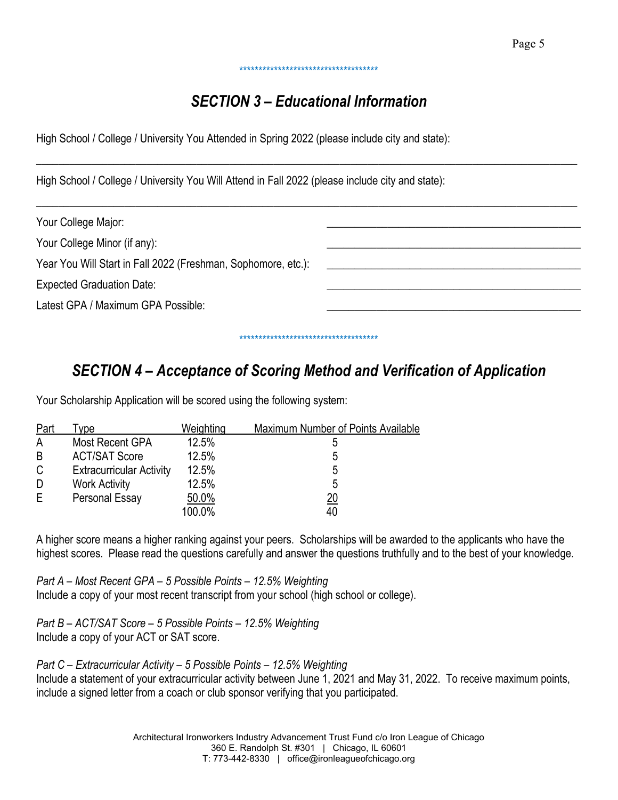## \*\*\*\*\*\*\*\*\*\*\*\*\*\*\*\*\*\*\*\*\*\*\*\*\*\*\*\*\*\*\*\*\*\*\*\*

## *SECTION 3 – Educational Information*

 $\_$  , and the set of the set of the set of the set of the set of the set of the set of the set of the set of the set of the set of the set of the set of the set of the set of the set of the set of the set of the set of th

High School / College / University You Attended in Spring 2022 (please include city and state):

High School / College / University You Will Attend in Fall 2022 (please include city and state):

| Your College Major:                                           |
|---------------------------------------------------------------|
| Your College Minor (if any):                                  |
| Year You Will Start in Fall 2022 (Freshman, Sophomore, etc.): |
| <b>Expected Graduation Date:</b>                              |
| Latest GPA / Maximum GPA Possible:                            |
|                                                               |

# *SECTION 4 – Acceptance of Scoring Method and Verification of Application*

\*\*\*\*\*\*\*\*\*\*\*\*\*\*\*\*\*\*\*\*\*\*\*\*\*\*\*\*\*\*\*\*\*\*\*\*

Your Scholarship Application will be scored using the following system:

| Part         | ype                             | Weighting | Maximum Number of Points Available |
|--------------|---------------------------------|-----------|------------------------------------|
| A            | Most Recent GPA                 | 12.5%     | ხ                                  |
| B            | <b>ACT/SAT Score</b>            | 12.5%     | 5                                  |
| $\mathsf{C}$ | <b>Extracurricular Activity</b> | 12.5%     | 5                                  |
| D            | <b>Work Activity</b>            | 12.5%     | 5                                  |
| Е            | Personal Essay                  | 50.0%     | <u> 20</u>                         |
|              |                                 | 100.0%    | 40                                 |

A higher score means a higher ranking against your peers. Scholarships will be awarded to the applicants who have the highest scores. Please read the questions carefully and answer the questions truthfully and to the best of your knowledge.

*Part A – Most Recent GPA – 5 Possible Points – 12.5% Weighting*  Include a copy of your most recent transcript from your school (high school or college).

*Part B – ACT/SAT Score – 5 Possible Points – 12.5% Weighting*  Include a copy of your ACT or SAT score.

*Part C – Extracurricular Activity – 5 Possible Points – 12.5% Weighting* 

Include a statement of your extracurricular activity between June 1, 2021 and May 31, 2022. To receive maximum points, include a signed letter from a coach or club sponsor verifying that you participated.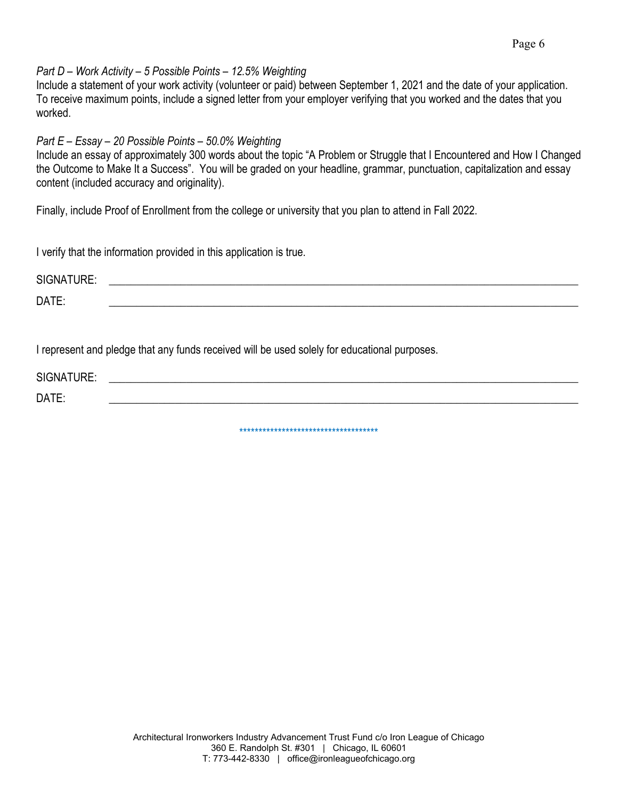#### *Part D – Work Activity – 5 Possible Points – 12.5% Weighting*

Include a statement of your work activity (volunteer or paid) between September 1, 2021 and the date of your application. To receive maximum points, include a signed letter from your employer verifying that you worked and the dates that you worked.

### *Part E – Essay – 20 Possible Points – 50.0% Weighting*

Include an essay of approximately 300 words about the topic "A Problem or Struggle that I Encountered and How I Changed the Outcome to Make It a Success". You will be graded on your headline, grammar, punctuation, capitalization and essay content (included accuracy and originality).

Finally, include Proof of Enrollment from the college or university that you plan to attend in Fall 2022.

I verify that the information provided in this application is true.

| <b>ITURE:</b><br><b>SIGNA</b><br>$\sim$ $\sim$ $\sim$ $\sim$ $\sim$ $\sim$ $\sim$ |  |
|-----------------------------------------------------------------------------------|--|
| DATE:                                                                             |  |

I represent and pledge that any funds received will be used solely for educational purposes.

SIGNATURE: \_\_\_\_\_\_\_\_\_\_\_\_\_\_\_\_\_\_\_\_\_\_\_\_\_\_\_\_\_\_\_\_\_\_\_\_\_\_\_\_\_\_\_\_\_\_\_\_\_\_\_\_\_\_\_\_\_\_\_\_\_\_\_\_\_\_\_\_\_\_\_\_\_\_\_\_\_\_\_\_\_\_\_\_\_ DATE: \_\_\_\_\_\_\_\_\_\_\_\_\_\_\_\_\_\_\_\_\_\_\_\_\_\_\_\_\_\_\_\_\_\_\_\_\_\_\_\_\_\_\_\_\_\_\_\_\_\_\_\_\_\_\_\_\_\_\_\_\_\_\_\_\_\_\_\_\_\_\_\_\_\_\_\_\_\_\_\_\_\_\_\_\_

\*\*\*\*\*\*\*\*\*\*\*\*\*\*\*\*\*\*\*\*\*\*\*\*\*\*\*\*\*\*\*\*\*\*\*\*